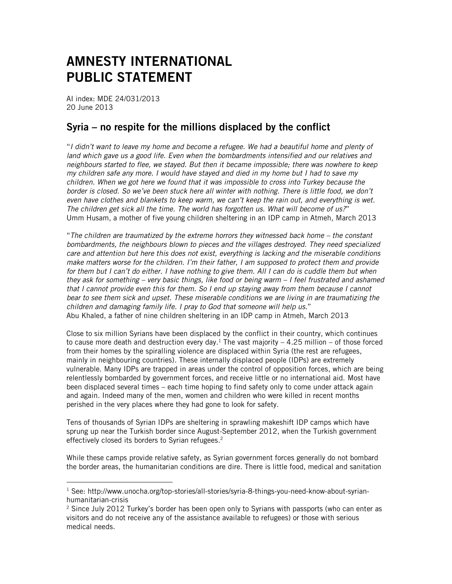## AMNESTY INTERNATIONAL PUBLIC STATEMENT

AI index: MDE 24/031/2013 20 June 2013

 $\overline{a}$ 

## Syria – no respite for the millions displaced by the conflict

"*I didn't want to leave my home and become a refugee. We had a beautiful home and plenty of land which gave us a good life. Even when the bombardments intensified and our relatives and neighbours started to flee, we stayed. But then it became impossible; there was nowhere to keep my children safe any more. I would have stayed and died in my home but I had to save my children. When we got here we found that it was impossible to cross into Turkey because the border is closed. So we've been stuck here all winter with nothing. There is little food, we don't even have clothes and blankets to keep warm, we can't keep the rain out, and everything is wet. The children get sick all the time. The world has forgotten us. What will become of us?*" Umm Husam, a mother of five young children sheltering in an IDP camp in Atmeh, March 2013

"*The children are traumatized by the extreme horrors they witnessed back home – the constant bombardments, the neighbours blown to pieces and the villages destroyed. They need specialized care and attention but here this does not exist, everything is lacking and the miserable conditions make matters worse for the children. I'm their father, I am supposed to protect them and provide for them but I can't do either. I have nothing to give them. All I can do is cuddle them but when they ask for something – very basic things, like food or being warm – I feel frustrated and ashamed that I cannot provide even this for them. So I end up staying away from them because I cannot bear to see them sick and upset. These miserable conditions we are living in are traumatizing the children and damaging family life. I pray to God that someone will help us.*" Abu Khaled, a father of nine children sheltering in an IDP camp in Atmeh, March 2013

Close to six million Syrians have been displaced by the conflict in their country, which continues to cause more death and destruction every day.<sup>1</sup> The vast majority  $-4.25$  million  $-$  of those forced from their homes by the spiralling violence are displaced within Syria (the rest are refugees, mainly in neighbouring countries). These internally displaced people (IDPs) are extremely vulnerable. Many IDPs are trapped in areas under the control of opposition forces, which are being relentlessly bombarded by government forces, and receive little or no international aid. Most have been displaced several times – each time hoping to find safety only to come under attack again and again. Indeed many of the men, women and children who were killed in recent months perished in the very places where they had gone to look for safety.

Tens of thousands of Syrian IDPs are sheltering in sprawling makeshift IDP camps which have sprung up near the Turkish border since August-September 2012, when the Turkish government effectively closed its borders to Syrian refugees. 2

While these camps provide relative safety, as Syrian government forces generally do not bombard the border areas, the humanitarian conditions are dire. There is little food, medical and sanitation

<sup>&</sup>lt;sup>1</sup> See: http://www.unocha.org/top-stories/all-stories/syria-8-things-you-need-know-about-syrianhumanitarian-crisis

 $2$  Since July 2012 Turkey's border has been open only to Syrians with passports (who can enter as visitors and do not receive any of the assistance available to refugees) or those with serious medical needs.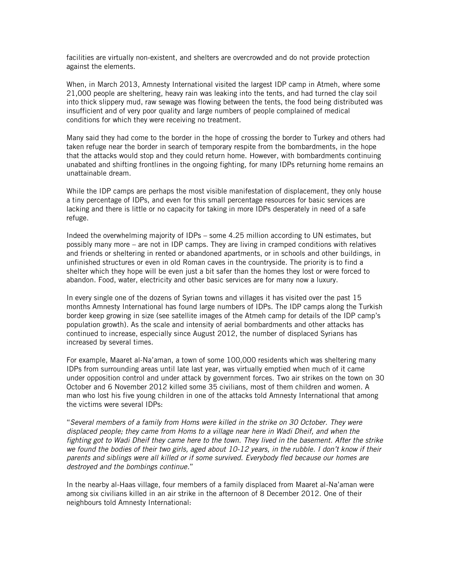facilities are virtually non-existent, and shelters are overcrowded and do not provide protection against the elements.

When, in March 2013, Amnesty International visited the largest IDP camp in Atmeh, where some 21,000 people are sheltering, heavy rain was leaking into the tents, and had turned the clay soil into thick slippery mud, raw sewage was flowing between the tents, the food being distributed was insufficient and of very poor quality and large numbers of people complained of medical conditions for which they were receiving no treatment.

Many said they had come to the border in the hope of crossing the border to Turkey and others had taken refuge near the border in search of temporary respite from the bombardments, in the hope that the attacks would stop and they could return home. However, with bombardments continuing unabated and shifting frontlines in the ongoing fighting, for many IDPs returning home remains an unattainable dream.

While the IDP camps are perhaps the most visible manifestation of displacement, they only house a tiny percentage of IDPs, and even for this small percentage resources for basic services are lacking and there is little or no capacity for taking in more IDPs desperately in need of a safe refuge.

Indeed the overwhelming majority of IDPs – some 4.25 million according to UN estimates, but possibly many more – are not in IDP camps. They are living in cramped conditions with relatives and friends or sheltering in rented or abandoned apartments, or in schools and other buildings, in unfinished structures or even in old Roman caves in the countryside. The priority is to find a shelter which they hope will be even just a bit safer than the homes they lost or were forced to abandon. Food, water, electricity and other basic services are for many now a luxury.

In every single one of the dozens of Syrian towns and villages it has visited over the past 15 months Amnesty International has found large numbers of IDPs. The IDP camps along the Turkish border keep growing in size (see satellite images of the Atmeh camp for details of the IDP camp's population growth). As the scale and intensity of aerial bombardments and other attacks has continued to increase, especially since August 2012, the number of displaced Syrians has increased by several times.

For example, Maaret al-Na'aman, a town of some 100,000 residents which was sheltering many IDPs from surrounding areas until late last year, was virtually emptied when much of it came under opposition control and under attack by government forces. Two air strikes on the town on 30 October and 6 November 2012 killed some 35 civilians, most of them children and women. A man who lost his five young children in one of the attacks told Amnesty International that among the victims were several IDPs:

"*Several members of a family from Homs were killed in the strike on 30 October. They were displaced people; they came from Homs to a village near here in Wadi Dheif, and when the fighting got to Wadi Dheif they came here to the town. They lived in the basement. After the strike we found the bodies of their two girls, aged about 10-12 years, in the rubble. I don't know if their parents and siblings were all killed or if some survived. Everybody fled because our homes are destroyed and the bombings continue.*"

In the nearby al-Haas village, four members of a family displaced from Maaret al-Na'aman were among six civilians killed in an air strike in the afternoon of 8 December 2012. One of their neighbours told Amnesty International: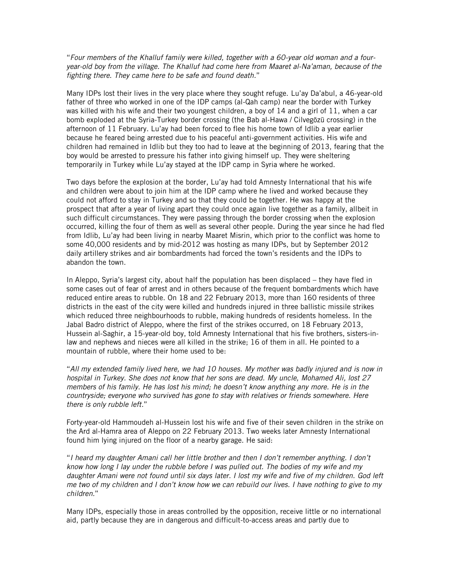"*Four members of the Khalluf family were killed, together with a 60-year old woman and a fouryear-old boy from the village. The Khalluf had come here from Maaret al-Na'aman, because of the fighting there. They came here to be safe and found death.*"

Many IDPs lost their lives in the very place where they sought refuge. Lu'ay Da'abul, a 46-year-old father of three who worked in one of the IDP camps (al-Qah camp) near the border with Turkey was killed with his wife and their two youngest children, a boy of 14 and a girl of 11, when a car bomb exploded at the Syria-Turkey border crossing (the Bab al-Hawa / Cilvegözü crossing) in the afternoon of 11 February. Lu'ay had been forced to flee his home town of Idlib a year earlier because he feared being arrested due to his peaceful anti-government activities. His wife and children had remained in Idlib but they too had to leave at the beginning of 2013, fearing that the boy would be arrested to pressure his father into giving himself up. They were sheltering temporarily in Turkey while Lu'ay stayed at the IDP camp in Syria where he worked.

Two days before the explosion at the border, Lu'ay had told Amnesty International that his wife and children were about to join him at the IDP camp where he lived and worked because they could not afford to stay in Turkey and so that they could be together. He was happy at the prospect that after a year of living apart they could once again live together as a family, allbeit in such difficult circumstances. They were passing through the border crossing when the explosion occurred, killing the four of them as well as several other people. During the year since he had fled from Idlib, Lu'ay had been living in nearby Maaret Misrin, which prior to the conflict was home to some 40,000 residents and by mid-2012 was hosting as many IDPs, but by September 2012 daily artillery strikes and air bombardments had forced the town's residents and the IDPs to abandon the town.

In Aleppo, Syria's largest city, about half the population has been displaced – they have fled in some cases out of fear of arrest and in others because of the frequent bombardments which have reduced entire areas to rubble. On 18 and 22 February 2013, more than 160 residents of three districts in the east of the city were killed and hundreds injured in three ballistic missile strikes which reduced three neighbourhoods to rubble, making hundreds of residents homeless. In the Jabal Badro district of Aleppo, where the first of the strikes occurred, on 18 February 2013, Hussein al-Saghir, a 15-year-old boy, told Amnesty International that his five brothers, sisters-inlaw and nephews and nieces were all killed in the strike; 16 of them in all. He pointed to a mountain of rubble, where their home used to be:

"*All my extended family lived here, we had 10 houses. My mother was badly injured and is now in hospital in Turkey. She does not know that her sons are dead. My uncle, Mohamed Ali, lost 27 members of his family. He has lost his mind; he doesn't know anything any more. He is in the countryside; everyone who survived has gone to stay with relatives or friends somewhere. Here there is only rubble left.*"

Forty-year-old Hammoudeh al-Hussein lost his wife and five of their seven children in the strike on the Ard al-Hamra area of Aleppo on 22 February 2013. Two weeks later Amnesty International found him lying injured on the floor of a nearby garage. He said:

"*I heard my daughter Amani call her little brother and then I don't remember anything. I don't know how long I lay under the rubble before I was pulled out. The bodies of my wife and my daughter Amani were not found until six days later. I lost my wife and five of my children. God left me two of my children and I don't know how we can rebuild our lives. I have nothing to give to my children.*"

Many IDPs, especially those in areas controlled by the opposition, receive little or no international aid, partly because they are in dangerous and difficult-to-access areas and partly due to